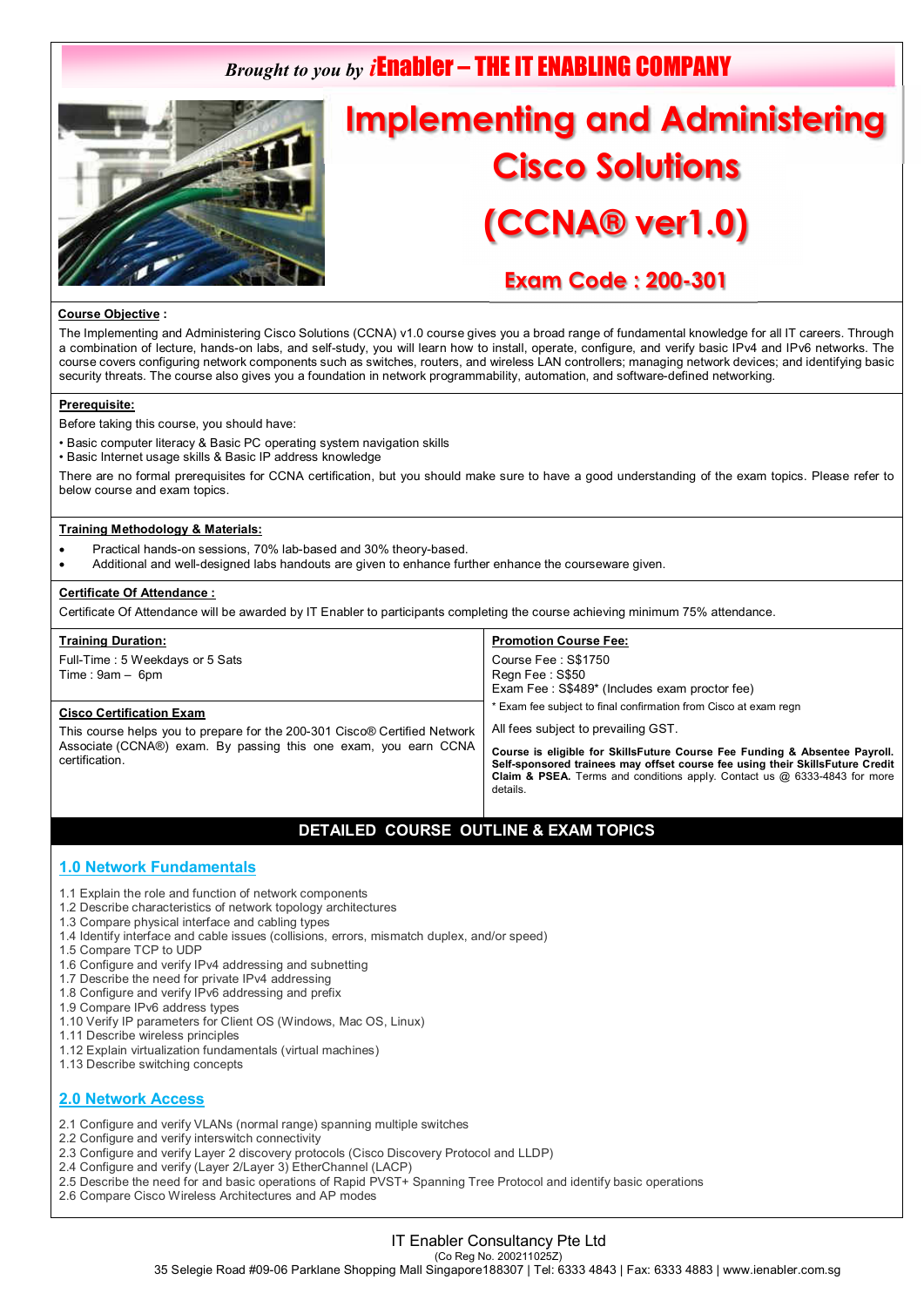# *Brought to you by i*Enabler – THE IT ENABLING COMPANY



# **Implementing and Administering Cisco Solutions (CCNA® ver1.0)**

# **Exam Code : 200-301**

#### **Course Objective :**

The Implementing and Administering Cisco Solutions (CCNA) v1.0 course gives you a broad range of fundamental knowledge for all IT careers. Through a combination of lecture, hands-on labs, and self-study, you will learn how to install, operate, configure, and verify basic IPv4 and IPv6 networks. The course covers configuring network components such as switches, routers, and wireless LAN controllers; managing network devices; and identifying basic security threats. The course also gives you a foundation in network programmability, automation, and software-defined networking.

#### **Prerequisite:**

Before taking this course, you should have:

- Basic computer literacy & Basic PC operating system navigation skills
- Basic Internet usage skills & Basic IP address knowledge

There are no formal prerequisites for CCNA certification, but you should make sure to have a good understanding of the exam topics. Please refer to below course and exam topics.

#### **Training Methodology & Materials:**

- Practical hands-on sessions, 70% lab-based and 30% theory-based.
- Additional and well-designed labs handouts are given to enhance further enhance the courseware given.

#### **Certificate Of Attendance :**

Certificate Of Attendance will be awarded by IT Enabler to participants completing the course achieving minimum 75% attendance.

| <b>Training Duration:</b><br>Full-Time: 5 Weekdays or 5 Sats<br>$Time: 9am - 6pm$                                                                                                                 | <b>Promotion Course Fee:</b><br>Course Fee: S\$1750<br>Regn Fee: S\$50<br>Exam Fee: S\$489* (Includes exam proctor fee)                                                                                                                                                                                                                                                    |
|---------------------------------------------------------------------------------------------------------------------------------------------------------------------------------------------------|----------------------------------------------------------------------------------------------------------------------------------------------------------------------------------------------------------------------------------------------------------------------------------------------------------------------------------------------------------------------------|
| <b>Cisco Certification Exam</b><br>This course helps you to prepare for the 200-301 Cisco® Certified Network<br>Associate (CCNA®) exam. By passing this one exam, you earn CCNA<br>certification. | Exam fee subject to final confirmation from Cisco at exam regn<br>All fees subject to prevailing GST.<br>Course is eligible for SkillsFuture Course Fee Funding & Absentee Payroll.<br>Self-sponsored trainees may offset course fee using their SkillsFuture Credit<br><b>Claim &amp; PSEA.</b> Terms and conditions apply. Contact us $@$ 6333-4843 for more<br>details. |

# **DETAILED COURSE OUTLINE & EXAM TOPICS**

## **1.0 Network Fundamentals**

- 1.1 Explain the role and function of network components
- 1.2 Describe characteristics of network topology architectures
- 1.3 Compare physical interface and cabling types
- 1.4 Identify interface and cable issues (collisions, errors, mismatch duplex, and/or speed)
- 1.5 Compare TCP to UDP
- 1.6 Configure and verify IPv4 addressing and subnetting
- 1.7 Describe the need for private IPv4 addressing
- 1.8 Configure and verify IPv6 addressing and prefix
- 1.9 Compare IPv6 address types
- 1.10 Verify IP parameters for Client OS (Windows, Mac OS, Linux)
- 1.11 Describe wireless principles
- 1.12 Explain virtualization fundamentals (virtual machines)
- 1.13 Describe switching concepts

## **2.0 Network Access**

- 2.1 Configure and verify VLANs (normal range) spanning multiple switches
- 2.2 Configure and verify interswitch connectivity
- 2.3 Configure and verify Layer 2 discovery protocols (Cisco Discovery Protocol and LLDP)
- 2.4 Configure and verify (Layer 2/Layer 3) EtherChannel (LACP)
- 2.5 Describe the need for and basic operations of Rapid PVST+ Spanning Tree Protocol and identify basic operations
- 2.6 Compare Cisco Wireless Architectures and AP modes